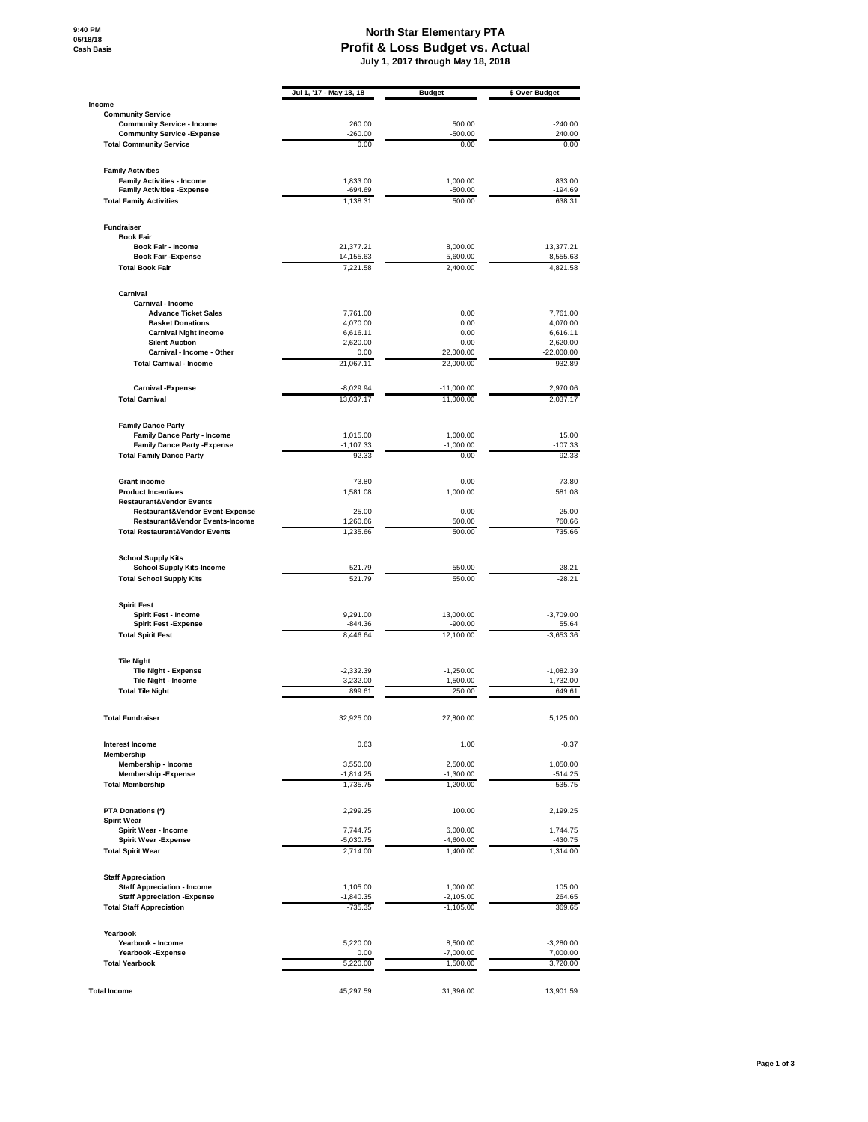## **North Star Elementary PTA Profit & Loss Budget vs. Actual July 1, 2017 through May 18, 2018**

|                                                                              | Jul 1, '17 - May 18, 18   | <b>Budget</b>              | \$ Over Budget          |
|------------------------------------------------------------------------------|---------------------------|----------------------------|-------------------------|
| Income                                                                       |                           |                            |                         |
| <b>Community Service</b><br><b>Community Service - Income</b>                | 260.00                    | 500.00                     | $-240.00$               |
| <b>Community Service - Expense</b>                                           | $-260.00$                 | $-500.00$                  | 240.00                  |
| <b>Total Community Service</b>                                               | 0.00                      | 0.00                       | 0.00                    |
| <b>Family Activities</b>                                                     |                           |                            |                         |
| <b>Family Activities - Income</b>                                            | 1,833.00                  | 1,000.00                   | 833.00                  |
| <b>Family Activities - Expense</b><br><b>Total Family Activities</b>         | $-694.69$<br>1,138.31     | $-500.00$<br>500.00        | $-194.69$<br>638.31     |
| <b>Fundraiser</b>                                                            |                           |                            |                         |
| <b>Book Fair</b>                                                             |                           |                            |                         |
| Book Fair - Income                                                           | 21,377.21                 | 8,000.00                   | 13,377.21               |
| <b>Book Fair -Expense</b><br><b>Total Book Fair</b>                          | $-14, 155.63$<br>7,221.58 | $-5,600.00$<br>2,400.00    | $-8,555.63$<br>4,821.58 |
| Carnival                                                                     |                           |                            |                         |
| Carnival - Income                                                            |                           |                            |                         |
| <b>Advance Ticket Sales</b>                                                  | 7,761.00                  | 0.00                       | 7,761.00                |
| <b>Basket Donations</b><br><b>Carnival Night Income</b>                      | 4,070.00<br>6,616.11      | 0.00<br>0.00               | 4,070.00<br>6,616.11    |
| <b>Silent Auction</b>                                                        | 2,620.00                  | 0.00                       | 2,620.00                |
| Carnival - Income - Other                                                    | 0.00                      | 22,000.00                  | $-22,000.00$            |
| <b>Total Carnival - Income</b>                                               | 21,067.11                 | 22,000.00                  | $-932.89$               |
| <b>Carnival -Expense</b>                                                     | $-8,029.94$               | $-11,000.00$               | 2,970.06                |
| <b>Total Carnival</b>                                                        | 13,037.17                 | 11,000.00                  | 2,037.17                |
| <b>Family Dance Party</b>                                                    |                           |                            |                         |
| <b>Family Dance Party - Income</b>                                           | 1,015.00                  | 1,000.00<br>$-1,000.00$    | 15.00                   |
| <b>Family Dance Party - Expense</b><br><b>Total Family Dance Party</b>       | $-1,107.33$<br>$-92.33$   | 0.00                       | $-107.33$<br>$-92.33$   |
|                                                                              |                           |                            |                         |
| <b>Grant income</b><br><b>Product Incentives</b>                             | 73.80<br>1,581.08         | 0.00<br>1,000.00           | 73.80<br>581.08         |
| <b>Restaurant&amp;Vendor Events</b>                                          |                           |                            |                         |
| <b>Restaurant&amp;Vendor Event-Expense</b>                                   | $-25.00$                  | 0.00                       | $-25.00$                |
| Restaurant&Vendor Events-Income<br><b>Total Restaurant&amp;Vendor Events</b> | 1,260.66<br>1,235.66      | 500.00<br>500.00           | 760.66<br>735.66        |
|                                                                              |                           |                            |                         |
| <b>School Supply Kits</b><br><b>School Supply Kits-Income</b>                | 521.79                    | 550.00                     | $-28.21$                |
| <b>Total School Supply Kits</b>                                              | 521.79                    | 550.00                     | $-28.21$                |
| <b>Spirit Fest</b>                                                           |                           |                            |                         |
| Spirit Fest - Income                                                         | 9,291.00                  | 13,000.00                  | $-3,709.00$             |
| <b>Spirit Fest -Expense</b><br><b>Total Spirit Fest</b>                      | $-844.36$<br>8,446.64     | $-900.00$<br>12,100.00     | 55.64<br>$-3,653.36$    |
| <b>Tile Night</b>                                                            |                           |                            |                         |
| <b>Tile Night - Expense</b>                                                  | $-2,332.39$               | $-1,250.00$                | $-1,082.39$             |
| Tile Night - Income                                                          | 3,232.00                  | 1,500.00                   | 1,732.00                |
| <b>Total Tile Night</b>                                                      | 899.61                    | 250.00                     | 649.61                  |
| Total Fundraiser                                                             | 32,925.00                 | 27,800.00                  | 5,125.00                |
| <b>Interest Income</b>                                                       | 0.63                      | 1.00                       | $-0.37$                 |
| <b>Membership</b>                                                            |                           |                            |                         |
| Membership - Income<br><b>Membership-Expense</b>                             | 3,550.00<br>$-1,814.25$   | 2,500.00<br>$-1,300.00$    | 1,050.00<br>$-514.25$   |
| <b>Total Membership</b>                                                      | 1,735.75                  | 1,200.00                   | 535.75                  |
| PTA Donations (*)                                                            | 2,299.25                  | 100.00                     | 2,199.25                |
| <b>Spirit Wear</b>                                                           |                           | 6.000.00                   |                         |
| Spirit Wear - Income<br><b>Spirit Wear - Expense</b>                         | 7,744.75<br>$-5,030.75$   | $-4,600.00$                | 1,744.75<br>$-430.75$   |
| <b>Total Spirit Wear</b>                                                     | 2,714.00                  | 1,400.00                   | 1,314.00                |
| <b>Staff Appreciation</b>                                                    |                           |                            |                         |
| <b>Staff Appreciation - Income</b>                                           | 1,105.00                  | 1,000.00                   | 105.00                  |
| <b>Staff Appreciation - Expense</b><br><b>Total Staff Appreciation</b>       | $-1,840.35$<br>$-735.35$  | $-2,105.00$<br>$-1,105.00$ | 264.65<br>369.65        |
|                                                                              |                           |                            |                         |
| Yearbook<br>Yearbook - Income                                                | 5,220.00                  | 8,500.00                   | $-3,280.00$             |
| Yearbook - Expense                                                           | 0.00                      | $-7,000.00$                | 7,000.00                |
| <b>Total Yearbook</b>                                                        | 5,220.00                  | 1,500.00                   | 3,720.00                |
|                                                                              |                           |                            |                         |
| <b>Total Income</b>                                                          | 45,297.59                 | 31,396.00                  | 13,901.59               |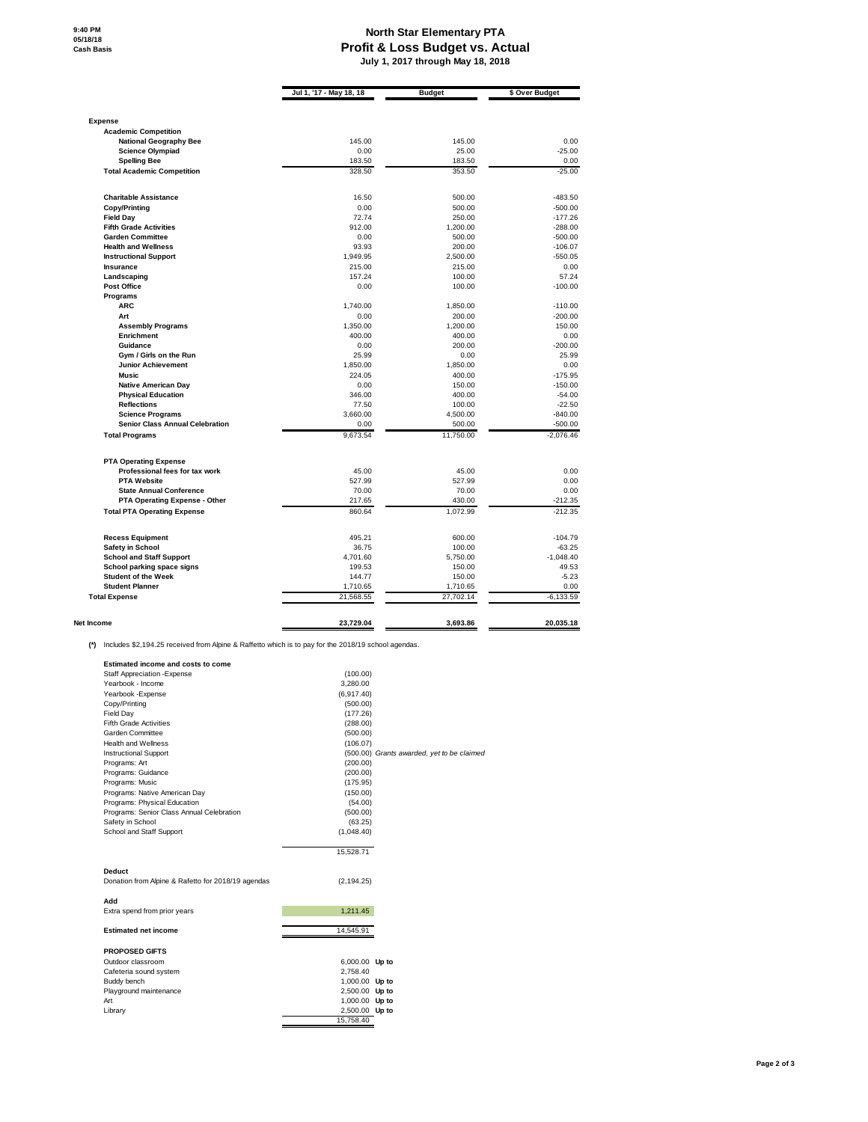## **North Star Elementary PTA Profit & Loss Budget vs. Actual July 1, 2017 through May 18, 2018**

|                                                                     | Jul 1, '17 - May 18, 18 | <b>Budget</b>       | \$ Over Budget           |
|---------------------------------------------------------------------|-------------------------|---------------------|--------------------------|
|                                                                     |                         |                     |                          |
| <b>Expense</b><br><b>Academic Competition</b>                       |                         |                     |                          |
| <b>National Geography Bee</b>                                       | 145.00                  | 145.00              | 0.00                     |
| <b>Science Olympiad</b>                                             | 0.00                    | 25.00               | $-25.00$                 |
| <b>Spelling Bee</b>                                                 | 183.50                  | 183.50              | 0.00                     |
| <b>Total Academic Competition</b>                                   | 328.50                  | 353.50              | $-25.00$                 |
| <b>Charitable Assistance</b>                                        | 16.50                   | 500.00              | $-483.50$                |
| Copy/Printing                                                       | 0.00                    | 500.00              | $-500.00$                |
| <b>Field Day</b>                                                    | 72.74                   | 250.00              | $-177.26$                |
| <b>Fifth Grade Activities</b>                                       | 912.00                  | 1.200.00            | $-288.00$                |
| <b>Garden Committee</b>                                             | 0.00                    | 500.00              | $-500.00$                |
| <b>Health and Wellness</b>                                          | 93.93                   | 200.00              | $-106.07$                |
| <b>Instructional Support</b>                                        | 1,949.95                | 2,500.00            | $-550.05$                |
| Insurance                                                           | 215.00                  | 215.00              | 0.00                     |
| Landscaping                                                         | 157.24                  | 100.00              | 57.24                    |
| <b>Post Office</b>                                                  | 0.00                    | 100.00              | $-100.00$                |
| Programs                                                            |                         |                     |                          |
| <b>ARC</b>                                                          | 1,740.00                | 1,850.00            | $-110.00$                |
| Art                                                                 | 0.00                    | 200.00              | $-200.00$                |
| <b>Assembly Programs</b>                                            | 1,350.00                | 1,200.00            | 150.00                   |
| Enrichment                                                          | 400.00                  | 400.00              | 0.00                     |
| Guidance                                                            | 0.00                    | 200.00              | $-200.00$                |
| Gym / Girls on the Run                                              | 25.99                   | 0.00                | 25.99                    |
| <b>Junior Achievement</b>                                           | 1,850.00                | 1,850.00            | 0.00                     |
| <b>Music</b>                                                        | 224.05                  | 400.00              | $-175.95$                |
| <b>Native American Day</b>                                          | 0.00                    | 150.00              | $-150.00$                |
| <b>Physical Education</b>                                           | 346.00                  | 400.00              | $-54.00$                 |
| <b>Reflections</b>                                                  | 77.50                   |                     | $-22.50$                 |
|                                                                     |                         | 100.00              |                          |
| <b>Science Programs</b>                                             | 3.660.00                | 4.500.00            | $-840.00$                |
| <b>Senior Class Annual Celebration</b><br><b>Total Programs</b>     | 0.00<br>9,673.54        | 500.00<br>11,750.00 | $-500.00$<br>$-2,076.46$ |
|                                                                     |                         |                     |                          |
| <b>PTA Operating Expense</b>                                        |                         |                     |                          |
| Professional fees for tax work                                      | 45.00                   | 45.00               | 0.00                     |
| <b>PTA Website</b>                                                  | 527.99                  | 527.99              | 0.00                     |
| <b>State Annual Conference</b>                                      | 70.00                   | 70.00               | 0.00                     |
| PTA Operating Expense - Other<br><b>Total PTA Operating Expense</b> | 217.65<br>860.64        | 430.00<br>1,072.99  | $-212.35$<br>$-212.35$   |
|                                                                     |                         |                     |                          |
| <b>Recess Equipment</b>                                             | 495.21                  | 600.00              | $-104.79$                |
| <b>Safety in School</b>                                             | 36.75                   | 100.00              | $-63.25$                 |
| <b>School and Staff Support</b>                                     | 4,701.60                | 5,750.00            | $-1,048.40$              |
| School parking space signs                                          | 199.53                  | 150.00              | 49.53                    |
| <b>Student of the Week</b>                                          | 144.77                  | 150.00              | $-5.23$                  |
| <b>Student Planner</b>                                              | 1,710.65                | 1,710.65            | 0.00                     |
| <b>Total Expense</b>                                                | 21,568.55               | 27,702.14           | $-6,133.59$              |
| <b>Net Income</b>                                                   | 23,729.04               | 3,693.86            | 20,035.18                |

**(\*)** Includes \$2,194.25 received from Alpine & Raffetto which is to pay for the 2018/19 school agendas.

| <b>Estimated income and costs to come</b>          |                |                                            |
|----------------------------------------------------|----------------|--------------------------------------------|
| <b>Staff Appreciation - Expense</b>                | (100.00)       |                                            |
| Yearbook - Income                                  | 3,280.00       |                                            |
| Yearbook - Expense                                 | (6,917.40)     |                                            |
| Copy/Printing                                      | (500.00)       |                                            |
| <b>Field Day</b>                                   | (177.26)       |                                            |
| <b>Fifth Grade Activities</b>                      | (288.00)       |                                            |
| Garden Committee                                   | (500.00)       |                                            |
| <b>Health and Wellness</b>                         | (106.07)       |                                            |
| <b>Instructional Support</b>                       |                | (500.00) Grants awarded, yet to be claimed |
| Programs: Art                                      | (200.00)       |                                            |
| Programs: Guidance                                 | (200.00)       |                                            |
| Programs: Music                                    | (175.95)       |                                            |
| Programs: Native American Day                      | (150.00)       |                                            |
| Programs: Physical Education                       | (54.00)        |                                            |
| Programs: Senior Class Annual Celebration          | (500.00)       |                                            |
| Safety in School                                   | (63.25)        |                                            |
| School and Staff Support                           | (1,048.40)     |                                            |
|                                                    |                |                                            |
|                                                    | 15,528.71      |                                            |
| Deduct                                             |                |                                            |
| Donation from Alpine & Rafetto for 2018/19 agendas | (2, 194.25)    |                                            |
|                                                    |                |                                            |
| Add                                                |                |                                            |
| Extra spend from prior years                       | 1,211.45       |                                            |
|                                                    |                |                                            |
| <b>Estimated net income</b>                        | 14,545.91      |                                            |
|                                                    |                |                                            |
| <b>PROPOSED GIFTS</b>                              |                |                                            |
| Outdoor classroom                                  | 6,000.00 Up to |                                            |
| Cafeteria sound system                             | 2.758.40       |                                            |
| Buddy bench                                        | 1,000.00 Up to |                                            |
| Playground maintenance                             | 2,500.00 Up to |                                            |
| Art                                                | 1,000.00 Up to |                                            |
| Library                                            | 2,500.00 Up to |                                            |
|                                                    | 15.758.40      |                                            |